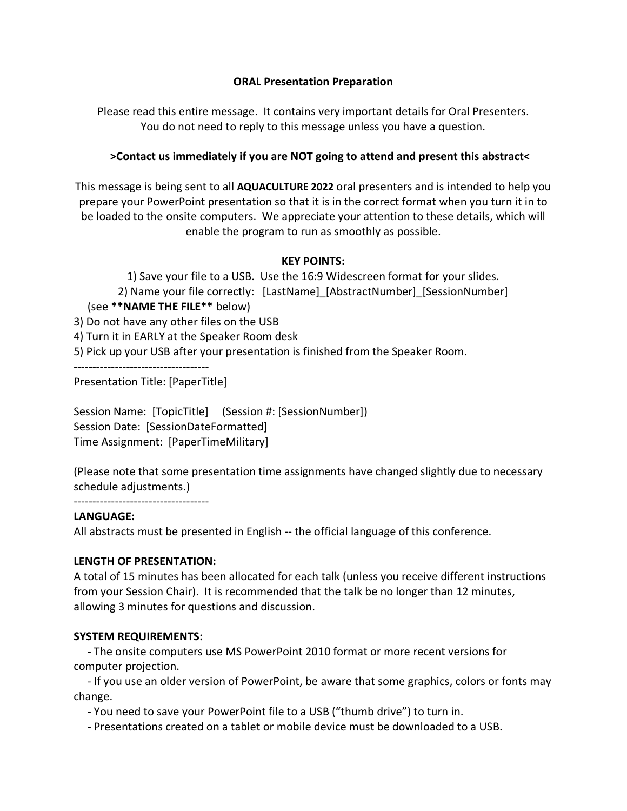### **ORAL Presentation Preparation**

Please read this entire message. It contains very important details for Oral Presenters. You do not need to reply to this message unless you have a question.

## **>Contact us immediately if you are NOT going to attend and present this abstract<**

This message is being sent to all **AQUACULTURE 2022** oral presenters and is intended to help you prepare your PowerPoint presentation so that it is in the correct format when you turn it in to be loaded to the onsite computers. We appreciate your attention to these details, which will enable the program to run as smoothly as possible.

## **KEY POINTS:**

1) Save your file to a USB. Use the 16:9 Widescreen format for your slides. 2) Name your file correctly: [LastName]\_[AbstractNumber]\_[SessionNumber] (see **\*\*NAME THE FILE\*\*** below) 3) Do not have any other files on the USB 4) Turn it in EARLY at the Speaker Room desk 5) Pick up your USB after your presentation is finished from the Speaker Room. ------------------------------------ Presentation Title: [PaperTitle]

Session Name: [TopicTitle] (Session #: [SessionNumber]) Session Date: [SessionDateFormatted] Time Assignment: [PaperTimeMilitary]

(Please note that some presentation time assignments have changed slightly due to necessary schedule adjustments.)

------------------------------------

### **LANGUAGE:**

All abstracts must be presented in English -- the official language of this conference.

# **LENGTH OF PRESENTATION:**

A total of 15 minutes has been allocated for each talk (unless you receive different instructions from your Session Chair). It is recommended that the talk be no longer than 12 minutes, allowing 3 minutes for questions and discussion.

# **SYSTEM REQUIREMENTS:**

 - The onsite computers use MS PowerPoint 2010 format or more recent versions for computer projection.

 - If you use an older version of PowerPoint, be aware that some graphics, colors or fonts may change.

- You need to save your PowerPoint file to a USB ("thumb drive") to turn in.

- Presentations created on a tablet or mobile device must be downloaded to a USB.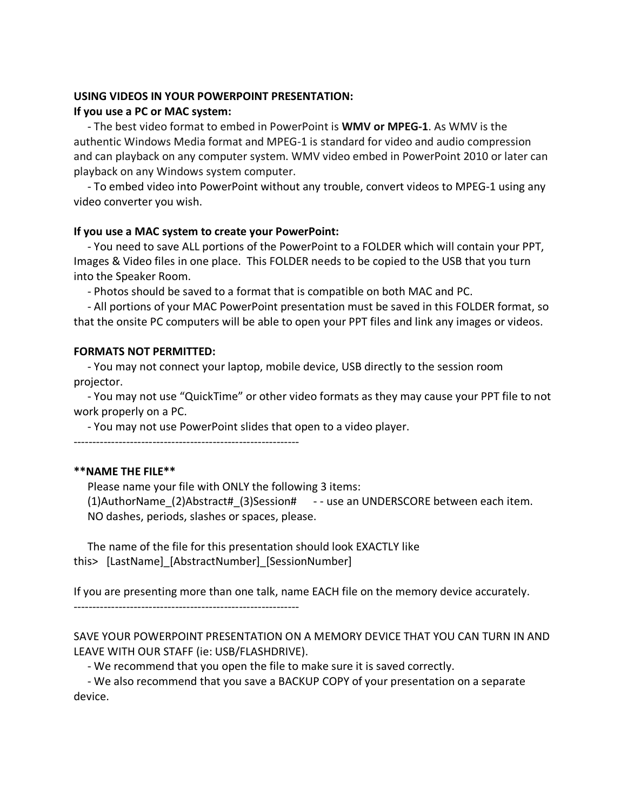#### **USING VIDEOS IN YOUR POWERPOINT PRESENTATION: If you use a PC or MAC system:**

 - The best video format to embed in PowerPoint is **WMV or MPEG-1**. As WMV is the authentic Windows Media format and MPEG-1 is standard for video and audio compression and can playback on any computer system. WMV video embed in PowerPoint 2010 or later can playback on any Windows system computer.

 - To embed video into PowerPoint without any trouble, convert videos to MPEG-1 using any video converter you wish.

#### **If you use a MAC system to create your PowerPoint:**

 - You need to save ALL portions of the PowerPoint to a FOLDER which will contain your PPT, Images & Video files in one place. This FOLDER needs to be copied to the USB that you turn into the Speaker Room.

- Photos should be saved to a format that is compatible on both MAC and PC.

 - All portions of your MAC PowerPoint presentation must be saved in this FOLDER format, so that the onsite PC computers will be able to open your PPT files and link any images or videos.

#### **FORMATS NOT PERMITTED:**

 - You may not connect your laptop, mobile device, USB directly to the session room projector.

 - You may not use "QuickTime" or other video formats as they may cause your PPT file to not work properly on a PC.

- You may not use PowerPoint slides that open to a video player.

------------------------------------------------------------

### **\*\*NAME THE FILE\*\***

 Please name your file with ONLY the following 3 items: (1)AuthorName\_(2)Abstract#\_(3)Session# - - use an UNDERSCORE between each item. NO dashes, periods, slashes or spaces, please.

 The name of the file for this presentation should look EXACTLY like this> [LastName] [AbstractNumber] [SessionNumber]

If you are presenting more than one talk, name EACH file on the memory device accurately.

------------------------------------------------------------

SAVE YOUR POWERPOINT PRESENTATION ON A MEMORY DEVICE THAT YOU CAN TURN IN AND LEAVE WITH OUR STAFF (ie: USB/FLASHDRIVE).

- We recommend that you open the file to make sure it is saved correctly.

 - We also recommend that you save a BACKUP COPY of your presentation on a separate device.